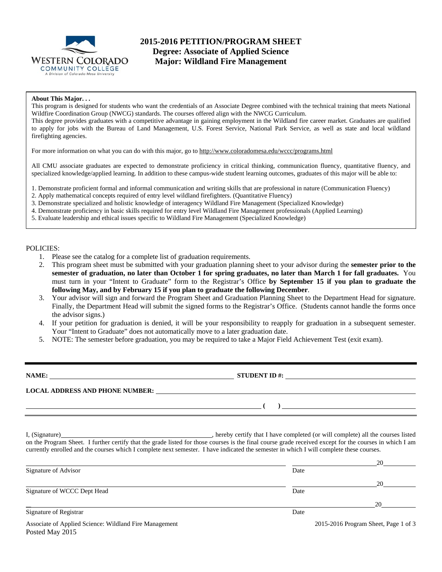

# **2015-2016 PETITION/PROGRAM SHEET Degree: Associate of Applied Science Major: Wildland Fire Management**

### **About This Major. . .**

This program is designed for students who want the credentials of an Associate Degree combined with the technical training that meets National Wildfire Coordination Group (NWCG) standards. The courses offered align with the NWCG Curriculum. This degree provides graduates with a competitive advantage in gaining employment in the Wildland fire career market. Graduates are qualified to apply for jobs with the Bureau of Land Management, U.S. Forest Service, National Park Service, as well as state and local wildland firefighting agencies.

For more information on what you can do with this major, go to http://www.coloradomesa.edu/wccc/programs.html

All CMU associate graduates are expected to demonstrate proficiency in critical thinking, communication fluency, quantitative fluency, and specialized knowledge/applied learning. In addition to these campus-wide student learning outcomes, graduates of this major will be able to:

1. Demonstrate proficient formal and informal communication and writing skills that are professional in nature (Communication Fluency)

2. Apply mathematical concepts required of entry level wildland firefighters. (Quantitative Fluency)

3. Demonstrate specialized and holistic knowledge of interagency Wildland Fire Management (Specialized Knowledge)

- 4. Demonstrate proficiency in basic skills required for entry level Wildland Fire Management professionals (Applied Learning)
- 5. Evaluate leadership and ethical issues specific to Wildland Fire Management (Specialized Knowledge)

#### POLICIES:

- 1. Please see the catalog for a complete list of graduation requirements.
- 2. This program sheet must be submitted with your graduation planning sheet to your advisor during the **semester prior to the semester of graduation, no later than October 1 for spring graduates, no later than March 1 for fall graduates.** You must turn in your "Intent to Graduate" form to the Registrar's Office **by September 15 if you plan to graduate the following May, and by February 15 if you plan to graduate the following December**.
- 3. Your advisor will sign and forward the Program Sheet and Graduation Planning Sheet to the Department Head for signature. Finally, the Department Head will submit the signed forms to the Registrar's Office. (Students cannot handle the forms once the advisor signs.)
- 4. If your petition for graduation is denied, it will be your responsibility to reapply for graduation in a subsequent semester. Your "Intent to Graduate" does not automatically move to a later graduation date.
- 5. NOTE: The semester before graduation, you may be required to take a Major Field Achievement Test (exit exam).

| NAME:                                  | <b>STUDENT ID #:</b> |
|----------------------------------------|----------------------|
| <b>LOCAL ADDRESS AND PHONE NUMBER:</b> |                      |
|                                        |                      |

I, (Signature) , hereby certify that I have completed (or will complete) all the courses listed on the Program Sheet. I further certify that the grade listed for those courses is the final course grade received except for the courses in which I am currently enrolled and the courses which I complete next semester. I have indicated the semester in which I will complete these courses.

|                                                                           |      | 20                                   |
|---------------------------------------------------------------------------|------|--------------------------------------|
| Signature of Advisor                                                      | Date |                                      |
|                                                                           |      | 20                                   |
| Signature of WCCC Dept Head                                               | Date |                                      |
|                                                                           |      | 20                                   |
| Signature of Registrar                                                    | Date |                                      |
| Associate of Applied Science: Wildland Fire Management<br>Posted May 2015 |      | 2015-2016 Program Sheet, Page 1 of 3 |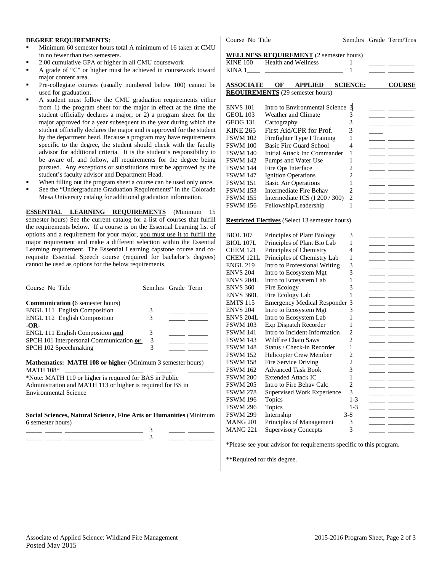#### **DEGREE REQUIREMENTS:**

- Minimum 60 semester hours total A minimum of 16 taken at CMU in no fewer than two semesters.
- 2.00 cumulative GPA or higher in all CMU coursework
- A grade of "C" or higher must be achieved in coursework toward major content area.
- Pre-collegiate courses (usually numbered below 100) cannot be used for graduation.
- A student must follow the CMU graduation requirements either from 1) the program sheet for the major in effect at the time the student officially declares a major; or 2) a program sheet for the major approved for a year subsequent to the year during which the student officially declares the major and is approved for the student by the department head. Because a program may have requirements specific to the degree, the student should check with the faculty advisor for additional criteria. It is the student's responsibility to be aware of, and follow, all requirements for the degree being pursued. Any exceptions or substitutions must be approved by the student's faculty advisor and Department Head.
- When filling out the program sheet a course can be used only once.
- See the "Undergraduate Graduation Requirements" in the Colorado Mesa University catalog for additional graduation information.

**ESSENTIAL LEARNING REQUIREMENTS** (Minimum 15 semester hours) See the current catalog for a list of courses that fulfill the requirements below. If a course is on the Essential Learning list of options and a requirement for your major, you must use it to fulfill the major requirement and make a different selection within the Essential Learning requirement. The Essential Learning capstone course and corequisite Essential Speech course (required for bachelor's degrees) cannot be used as options for the below requirements.

| Course No Title                                                                                                                                          | Sem.hrs Grade Term |  |  |  |  |  |
|----------------------------------------------------------------------------------------------------------------------------------------------------------|--------------------|--|--|--|--|--|
| <b>Communication</b> (6 semester hours)                                                                                                                  |                    |  |  |  |  |  |
| <b>ENGL 111 English Composition</b>                                                                                                                      | 3                  |  |  |  |  |  |
| <b>ENGL 112 English Composition</b>                                                                                                                      | 3                  |  |  |  |  |  |
| $-OR-$                                                                                                                                                   |                    |  |  |  |  |  |
| <b>ENGL 111 English Composition and</b>                                                                                                                  | 3                  |  |  |  |  |  |
| SPCH 101 Interpersonal Communication or                                                                                                                  | 3                  |  |  |  |  |  |
| SPCH 102 Speechmaking                                                                                                                                    | 3                  |  |  |  |  |  |
| <b>Mathematics: MATH 108 or higher</b> (Minimum 3 semester hours)<br>$\mathbf{1}$ f $\mathbf{1}$ met $\mathbf{1}$ $\mathbf{0}$ $\mathbf{0}$ $\mathbf{0}$ |                    |  |  |  |  |  |

MATH 108\* \*Note: MATH 110 or higher is required for BAS in Public

Administration and MATH 113 or higher is required for BS in Environmental Science

#### **Social Sciences, Natural Science, Fine Arts or Humanities** (Minimum 6 semester hours)

\_\_\_\_\_ \_\_\_\_\_ \_\_\_\_\_\_\_\_\_\_\_\_\_\_\_\_\_\_\_\_\_\_\_\_ 3 \_\_\_\_\_ \_\_\_\_\_\_\_\_

Course No Title Sem.hrs Grade Term/Trns

|                       | <b>WELLNESS REQUIREMENT</b> (2 semester hours)         |                |               |                                                                                                                                                                                                                                                                                                                                                                                                                                                                                 |
|-----------------------|--------------------------------------------------------|----------------|---------------|---------------------------------------------------------------------------------------------------------------------------------------------------------------------------------------------------------------------------------------------------------------------------------------------------------------------------------------------------------------------------------------------------------------------------------------------------------------------------------|
| <b>KINE 100</b>       | Health and Wellness                                    | 1              |               |                                                                                                                                                                                                                                                                                                                                                                                                                                                                                 |
| KINA 1                |                                                        | 1              |               |                                                                                                                                                                                                                                                                                                                                                                                                                                                                                 |
|                       | <b>ASSOCIATE OF APPLIED SCIENCE:</b>                   |                |               | <b>COURSE</b>                                                                                                                                                                                                                                                                                                                                                                                                                                                                   |
|                       | <b>REQUIREMENTS</b> (29 semester hours)                |                |               |                                                                                                                                                                                                                                                                                                                                                                                                                                                                                 |
|                       |                                                        |                |               |                                                                                                                                                                                                                                                                                                                                                                                                                                                                                 |
| <b>ENVS 101</b>       | Intro to Environmental Science                         | $\overline{3}$ |               |                                                                                                                                                                                                                                                                                                                                                                                                                                                                                 |
| <b>GEOL 103</b>       | <b>Weather and Climate</b>                             | 3              |               |                                                                                                                                                                                                                                                                                                                                                                                                                                                                                 |
| GEOG 131              | Cartography                                            | 3              |               | $ -$                                                                                                                                                                                                                                                                                                                                                                                                                                                                            |
| <b>KINE 265</b>       | First Aid/CPR for Prof.                                | 3              |               |                                                                                                                                                                                                                                                                                                                                                                                                                                                                                 |
| <b>FSWM 102</b>       | Firefighter Type I Training                            | 1              |               |                                                                                                                                                                                                                                                                                                                                                                                                                                                                                 |
| <b>FSWM 100</b>       | <b>Basic Fire Guard School</b>                         | $\overline{4}$ |               | $\overline{a}$                                                                                                                                                                                                                                                                                                                                                                                                                                                                  |
| <b>FSWM 140</b>       | Initial Attack Inc Commander                           | 1              |               | $\overline{\phantom{a}}$                                                                                                                                                                                                                                                                                                                                                                                                                                                        |
| <b>FSWM 142</b>       | Pumps and Water Use                                    | 1              |               | $\overline{\phantom{a}}$ and $\overline{\phantom{a}}$                                                                                                                                                                                                                                                                                                                                                                                                                           |
| <b>FSWM 144</b>       | Fire Ops Interface                                     | $\mathfrak{D}$ |               |                                                                                                                                                                                                                                                                                                                                                                                                                                                                                 |
| <b>FSWM 147</b>       | <b>Ignition Operations</b>                             | $\overline{2}$ |               |                                                                                                                                                                                                                                                                                                                                                                                                                                                                                 |
| <b>FSWM 151</b>       | <b>Basic Air Operations</b>                            | 1              |               | <u>and the state</u>                                                                                                                                                                                                                                                                                                                                                                                                                                                            |
| <b>FSWM 153</b>       | <b>Intermediate Fire Behav</b>                         | $\mathfrak{D}$ |               |                                                                                                                                                                                                                                                                                                                                                                                                                                                                                 |
| <b>FSWM 155</b>       | Intermediate ICS (I 200 / 300)                         | $\overline{c}$ | <u>.</u>      |                                                                                                                                                                                                                                                                                                                                                                                                                                                                                 |
| <b>FSWM 156</b>       | Fellowship/Leadership                                  | 1              |               |                                                                                                                                                                                                                                                                                                                                                                                                                                                                                 |
|                       |                                                        |                |               |                                                                                                                                                                                                                                                                                                                                                                                                                                                                                 |
|                       | <b>Restricted Electives</b> (Select 13 semester hours) |                |               |                                                                                                                                                                                                                                                                                                                                                                                                                                                                                 |
| <b>BIOL 107</b>       | Principles of Plant Biology                            | 3              |               |                                                                                                                                                                                                                                                                                                                                                                                                                                                                                 |
| <b>BIOL 107L</b>      | Principles of Plant Bio Lab                            | 1              |               |                                                                                                                                                                                                                                                                                                                                                                                                                                                                                 |
| <b>CHEM 121</b>       | Principles of Chemistry                                | 4              |               |                                                                                                                                                                                                                                                                                                                                                                                                                                                                                 |
| CHEM 121L             | Principles of Chemistry Lab                            | 1              |               |                                                                                                                                                                                                                                                                                                                                                                                                                                                                                 |
| <b>ENGL 219</b>       | Intro to Professional Writing                          | 3              | $\frac{1}{2}$ |                                                                                                                                                                                                                                                                                                                                                                                                                                                                                 |
| <b>ENVS 204</b>       | Intro to Ecosystem Mgt                                 | 3              |               |                                                                                                                                                                                                                                                                                                                                                                                                                                                                                 |
| ENVS <sub>204</sub> L | Intro to Ecosystem Lab                                 | 1              |               |                                                                                                                                                                                                                                                                                                                                                                                                                                                                                 |
| <b>ENVS 360</b>       | Fire Ecology                                           | 3              |               |                                                                                                                                                                                                                                                                                                                                                                                                                                                                                 |
| <b>ENVS 360L</b>      | Fire Ecology Lab                                       | 1              |               | $\overline{a}$                                                                                                                                                                                                                                                                                                                                                                                                                                                                  |
| <b>EMTS 115</b>       | <b>Emergency Medical Responder 3</b>                   |                |               |                                                                                                                                                                                                                                                                                                                                                                                                                                                                                 |
| <b>ENVS 204</b>       | Intro to Ecosystem Mgt                                 | 3              |               |                                                                                                                                                                                                                                                                                                                                                                                                                                                                                 |
| <b>ENVS 204L</b>      | Intro to Ecosystem Lab                                 | 1              |               |                                                                                                                                                                                                                                                                                                                                                                                                                                                                                 |
| <b>FSWM 103</b>       | Exp Dispatch Recorder                                  | 1              |               |                                                                                                                                                                                                                                                                                                                                                                                                                                                                                 |
|                       | Intro to Incident Information                          | $\overline{2}$ |               | $\overline{a}$                                                                                                                                                                                                                                                                                                                                                                                                                                                                  |
| <b>FSWM 141</b>       | <b>Wildfire Chain Saws</b>                             | $\overline{c}$ |               | $\overline{\phantom{a}}$ $\overline{\phantom{a}}$ $\overline{\phantom{a}}$ $\overline{\phantom{a}}$ $\overline{\phantom{a}}$ $\overline{\phantom{a}}$ $\overline{\phantom{a}}$ $\overline{\phantom{a}}$ $\overline{\phantom{a}}$ $\overline{\phantom{a}}$ $\overline{\phantom{a}}$ $\overline{\phantom{a}}$ $\overline{\phantom{a}}$ $\overline{\phantom{a}}$ $\overline{\phantom{a}}$ $\overline{\phantom{a}}$ $\overline{\phantom{a}}$ $\overline{\phantom{a}}$ $\overline{\$ |
| <b>FSWM 143</b>       |                                                        |                |               | $\overline{\phantom{a}}$                                                                                                                                                                                                                                                                                                                                                                                                                                                        |
| <b>FSWM 148</b>       | Status / Check-in Recorder                             | 1              |               |                                                                                                                                                                                                                                                                                                                                                                                                                                                                                 |
| <b>FSWM 152</b>       | <b>Helicopter Crew Member</b>                          | $\overline{c}$ |               |                                                                                                                                                                                                                                                                                                                                                                                                                                                                                 |
| <b>FSWM 158</b>       | <b>Fire Service Driving</b>                            | $\overline{2}$ |               |                                                                                                                                                                                                                                                                                                                                                                                                                                                                                 |
| <b>FSWM 162</b>       | <b>Advanced Task Book</b>                              | 3              |               |                                                                                                                                                                                                                                                                                                                                                                                                                                                                                 |
| <b>FSWM 200</b>       | <b>Extended Attack IC</b>                              | 1              |               |                                                                                                                                                                                                                                                                                                                                                                                                                                                                                 |
| <b>FSWM 205</b>       | Intro to Fire Behav Calc                               | $\overline{2}$ |               | the company of the company of                                                                                                                                                                                                                                                                                                                                                                                                                                                   |
| <b>FSWM 278</b>       | Supervised Work Experience                             | 3              |               |                                                                                                                                                                                                                                                                                                                                                                                                                                                                                 |
| <b>FSWM 196</b>       | Topics                                                 | $1 - 3$        |               |                                                                                                                                                                                                                                                                                                                                                                                                                                                                                 |

| 6 semester hours) |  |                                                                     | MANG 201 Principles of Management |  |  |
|-------------------|--|---------------------------------------------------------------------|-----------------------------------|--|--|
|                   |  |                                                                     | MANG 221 Supervisory Concepts     |  |  |
|                   |  |                                                                     |                                   |  |  |
|                   |  | *Please see your advisor for requirements specific to this program. |                                   |  |  |

\*\*Required for this degree.

FSWM 296 Topics 1-3 FSWM 299 Internship 3-8